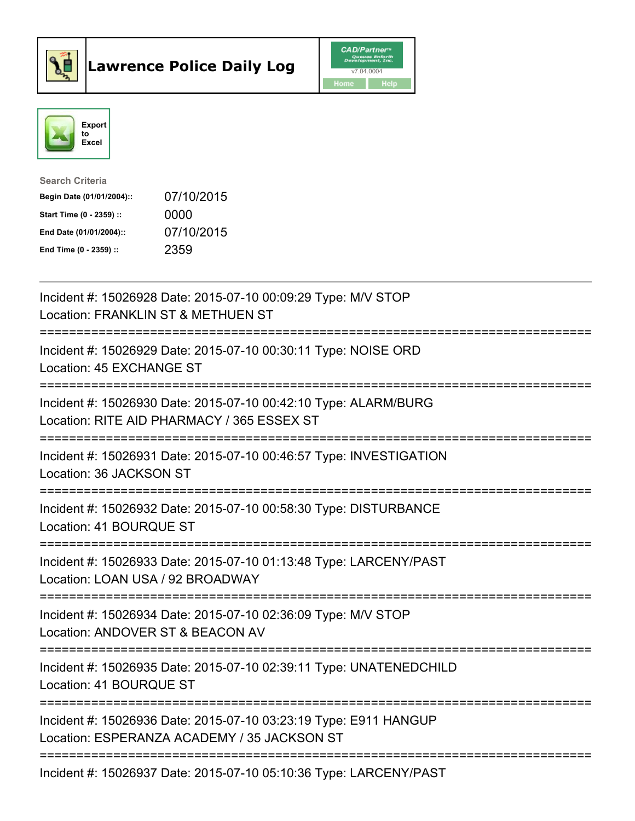



| <b>Search Criteria</b>    |            |
|---------------------------|------------|
| Begin Date (01/01/2004):: | 07/10/2015 |
| Start Time (0 - 2359) ::  | 0000       |
| End Date (01/01/2004)::   | 07/10/2015 |
| End Time $(0 - 2359)$ :   | 2359       |

| Incident #: 15026928 Date: 2015-07-10 00:09:29 Type: M/V STOP<br>Location: FRANKLIN ST & METHUEN ST                                                |
|----------------------------------------------------------------------------------------------------------------------------------------------------|
| Incident #: 15026929 Date: 2015-07-10 00:30:11 Type: NOISE ORD<br>Location: 45 EXCHANGE ST<br>:===========                                         |
| Incident #: 15026930 Date: 2015-07-10 00:42:10 Type: ALARM/BURG<br>Location: RITE AID PHARMACY / 365 ESSEX ST                                      |
| Incident #: 15026931 Date: 2015-07-10 00:46:57 Type: INVESTIGATION<br>Location: 36 JACKSON ST                                                      |
| Incident #: 15026932 Date: 2015-07-10 00:58:30 Type: DISTURBANCE<br>Location: 41 BOURQUE ST<br>=============                                       |
| Incident #: 15026933 Date: 2015-07-10 01:13:48 Type: LARCENY/PAST<br>Location: LOAN USA / 92 BROADWAY<br>-----------<br>=======================    |
| Incident #: 15026934 Date: 2015-07-10 02:36:09 Type: M/V STOP<br>Location: ANDOVER ST & BEACON AV<br>=============<br>---------------------------- |
| Incident #: 15026935 Date: 2015-07-10 02:39:11 Type: UNATENEDCHILD<br>Location: 41 BOURQUE ST                                                      |
| Incident #: 15026936 Date: 2015-07-10 03:23:19 Type: E911 HANGUP<br>Location: ESPERANZA ACADEMY / 35 JACKSON ST                                    |
| Incident #: 15026937 Date: 2015-07-10 05:10:36 Type: LARCENY/PAST                                                                                  |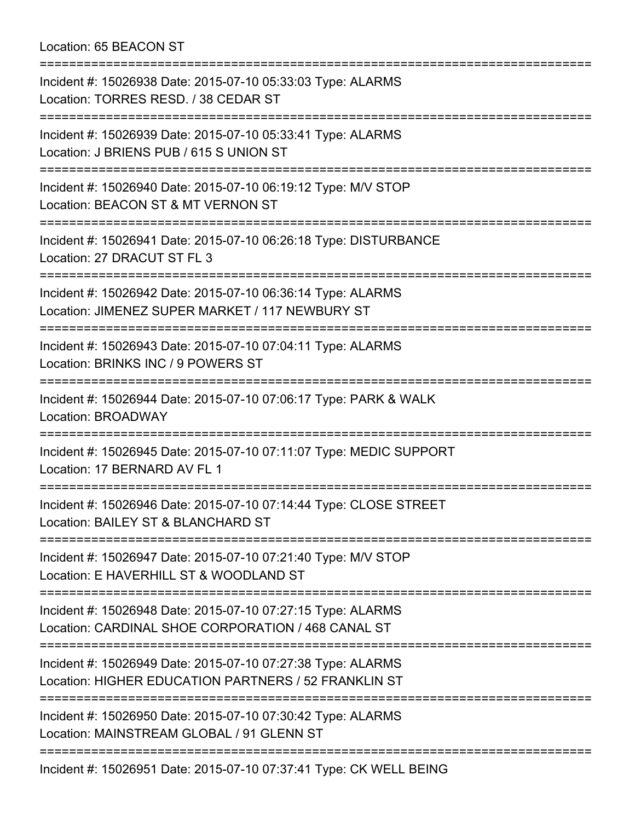## Location: 65 BEACON ST

| Incident #: 15026938 Date: 2015-07-10 05:33:03 Type: ALARMS<br>Location: TORRES RESD. / 38 CEDAR ST<br>================================       |
|-----------------------------------------------------------------------------------------------------------------------------------------------|
| Incident #: 15026939 Date: 2015-07-10 05:33:41 Type: ALARMS<br>Location: J BRIENS PUB / 615 S UNION ST<br>;================================== |
| Incident #: 15026940 Date: 2015-07-10 06:19:12 Type: M/V STOP<br>Location: BEACON ST & MT VERNON ST                                           |
| Incident #: 15026941 Date: 2015-07-10 06:26:18 Type: DISTURBANCE<br>Location: 27 DRACUT ST FL 3                                               |
| Incident #: 15026942 Date: 2015-07-10 06:36:14 Type: ALARMS<br>Location: JIMENEZ SUPER MARKET / 117 NEWBURY ST                                |
| Incident #: 15026943 Date: 2015-07-10 07:04:11 Type: ALARMS<br>Location: BRINKS INC / 9 POWERS ST<br>;===================================     |
| Incident #: 15026944 Date: 2015-07-10 07:06:17 Type: PARK & WALK<br>Location: BROADWAY                                                        |
| Incident #: 15026945 Date: 2015-07-10 07:11:07 Type: MEDIC SUPPORT<br>Location: 17 BERNARD AV FL 1                                            |
| Incident #: 15026946 Date: 2015-07-10 07:14:44 Type: CLOSE STREET<br>Location: BAILEY ST & BLANCHARD ST                                       |
| Incident #: 15026947 Date: 2015-07-10 07:21:40 Type: M/V STOP<br>Location: E HAVERHILL ST & WOODLAND ST                                       |
| Incident #: 15026948 Date: 2015-07-10 07:27:15 Type: ALARMS<br>Location: CARDINAL SHOE CORPORATION / 468 CANAL ST                             |
| Incident #: 15026949 Date: 2015-07-10 07:27:38 Type: ALARMS<br>Location: HIGHER EDUCATION PARTNERS / 52 FRANKLIN ST                           |
| Incident #: 15026950 Date: 2015-07-10 07:30:42 Type: ALARMS<br>Location: MAINSTREAM GLOBAL / 91 GLENN ST                                      |
| Incident #: 15026951 Date: 2015-07-10 07:37:41 Type: CK WELL BEING                                                                            |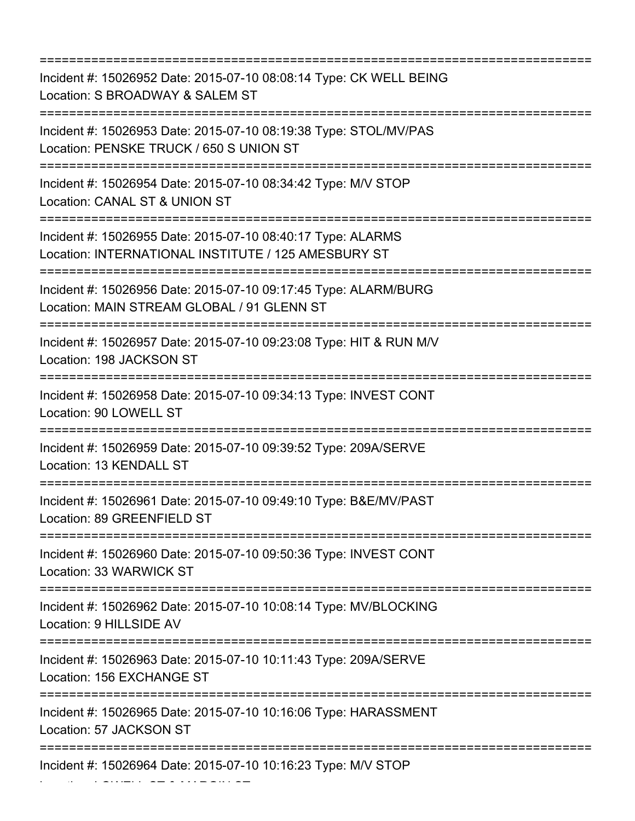=========================================================================== Incident #: 15026952 Date: 2015-07-10 08:08:14 Type: CK WELL BEING Location: S BROADWAY & SALEM ST =========================================================================== Incident #: 15026953 Date: 2015-07-10 08:19:38 Type: STOL/MV/PAS Location: PENSKE TRUCK / 650 S UNION ST =========================================================================== Incident #: 15026954 Date: 2015-07-10 08:34:42 Type: M/V STOP Location: CANAL ST & UNION ST =========================================================================== Incident #: 15026955 Date: 2015-07-10 08:40:17 Type: ALARMS Location: INTERNATIONAL INSTITUTE / 125 AMESBURY ST =========================================================================== Incident #: 15026956 Date: 2015-07-10 09:17:45 Type: ALARM/BURG Location: MAIN STREAM GLOBAL / 91 GLENN ST =========================================================================== Incident #: 15026957 Date: 2015-07-10 09:23:08 Type: HIT & RUN M/V Location: 198 JACKSON ST =========================================================================== Incident #: 15026958 Date: 2015-07-10 09:34:13 Type: INVEST CONT Location: 90 LOWELL ST =========================================================================== Incident #: 15026959 Date: 2015-07-10 09:39:52 Type: 209A/SERVE Location: 13 KENDALL ST =========================================================================== Incident #: 15026961 Date: 2015-07-10 09:49:10 Type: B&E/MV/PAST Location: 89 GREENFIELD ST =========================================================================== Incident #: 15026960 Date: 2015-07-10 09:50:36 Type: INVEST CONT Location: 33 WARWICK ST =========================================================================== Incident #: 15026962 Date: 2015-07-10 10:08:14 Type: MV/BLOCKING Location: 9 HILLSIDE AV =========================================================================== Incident #: 15026963 Date: 2015-07-10 10:11:43 Type: 209A/SERVE Location: 156 EXCHANGE ST =========================================================================== Incident #: 15026965 Date: 2015-07-10 10:16:06 Type: HARASSMENT Location: 57 JACKSON ST =========================================================================== Incident #: 15026964 Date: 2015-07-10 10:16:23 Type: M/V STOP

Location: LOWELL ST & MARGIN ST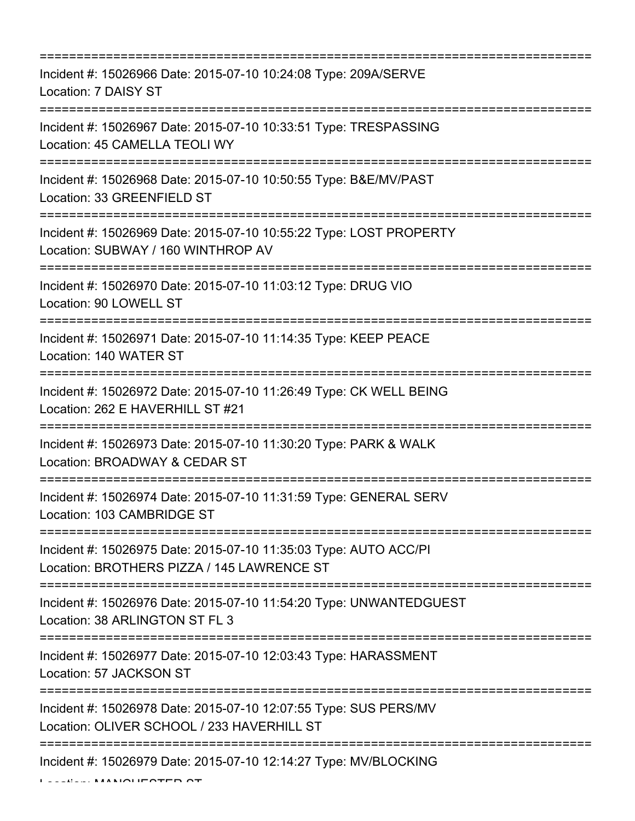| Incident #: 15026966 Date: 2015-07-10 10:24:08 Type: 209A/SERVE<br>Location: 7 DAISY ST                                                   |
|-------------------------------------------------------------------------------------------------------------------------------------------|
| Incident #: 15026967 Date: 2015-07-10 10:33:51 Type: TRESPASSING<br>Location: 45 CAMELLA TEOLI WY                                         |
| Incident #: 15026968 Date: 2015-07-10 10:50:55 Type: B&E/MV/PAST<br>Location: 33 GREENFIELD ST                                            |
| Incident #: 15026969 Date: 2015-07-10 10:55:22 Type: LOST PROPERTY<br>Location: SUBWAY / 160 WINTHROP AV<br>:============================ |
| Incident #: 15026970 Date: 2015-07-10 11:03:12 Type: DRUG VIO<br>Location: 90 LOWELL ST                                                   |
| Incident #: 15026971 Date: 2015-07-10 11:14:35 Type: KEEP PEACE<br>Location: 140 WATER ST                                                 |
| Incident #: 15026972 Date: 2015-07-10 11:26:49 Type: CK WELL BEING<br>Location: 262 E HAVERHILL ST #21<br>;========================       |
| Incident #: 15026973 Date: 2015-07-10 11:30:20 Type: PARK & WALK<br>Location: BROADWAY & CEDAR ST<br>===========================          |
| Incident #: 15026974 Date: 2015-07-10 11:31:59 Type: GENERAL SERV<br>Location: 103 CAMBRIDGE ST                                           |
| Incident #: 15026975 Date: 2015-07-10 11:35:03 Type: AUTO ACC/PI<br>Location: BROTHERS PIZZA / 145 LAWRENCE ST                            |
| Incident #: 15026976 Date: 2015-07-10 11:54:20 Type: UNWANTEDGUEST<br>Location: 38 ARLINGTON ST FL 3                                      |
| Incident #: 15026977 Date: 2015-07-10 12:03:43 Type: HARASSMENT<br>Location: 57 JACKSON ST                                                |
| Incident #: 15026978 Date: 2015-07-10 12:07:55 Type: SUS PERS/MV<br>Location: OLIVER SCHOOL / 233 HAVERHILL ST                            |
| Incident #: 15026979 Date: 2015-07-10 12:14:27 Type: MV/BLOCKING                                                                          |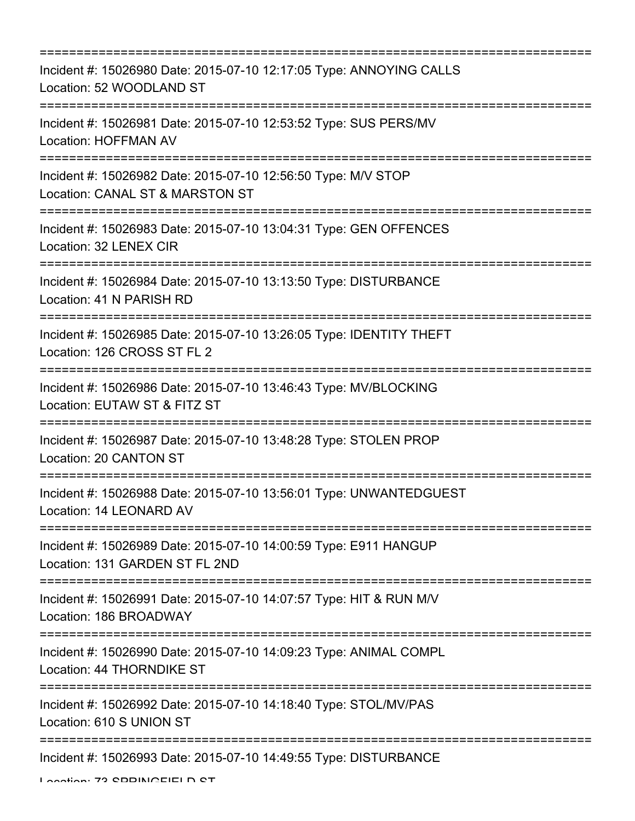| Incident #: 15026980 Date: 2015-07-10 12:17:05 Type: ANNOYING CALLS<br>Location: 52 WOODLAND ST                                   |
|-----------------------------------------------------------------------------------------------------------------------------------|
| Incident #: 15026981 Date: 2015-07-10 12:53:52 Type: SUS PERS/MV<br>Location: HOFFMAN AV                                          |
| Incident #: 15026982 Date: 2015-07-10 12:56:50 Type: M/V STOP<br>Location: CANAL ST & MARSTON ST                                  |
| Incident #: 15026983 Date: 2015-07-10 13:04:31 Type: GEN OFFENCES<br>Location: 32 LENEX CIR                                       |
| Incident #: 15026984 Date: 2015-07-10 13:13:50 Type: DISTURBANCE<br>Location: 41 N PARISH RD                                      |
| Incident #: 15026985 Date: 2015-07-10 13:26:05 Type: IDENTITY THEFT<br>Location: 126 CROSS ST FL 2                                |
| Incident #: 15026986 Date: 2015-07-10 13:46:43 Type: MV/BLOCKING<br>Location: EUTAW ST & FITZ ST                                  |
| =============<br>Incident #: 15026987 Date: 2015-07-10 13:48:28 Type: STOLEN PROP<br>Location: 20 CANTON ST                       |
| =============<br>Incident #: 15026988 Date: 2015-07-10 13:56:01 Type: UNWANTEDGUEST<br>Location: 14 LEONARD AV                    |
| Incident #: 15026989 Date: 2015-07-10 14:00:59 Type: E911 HANGUP<br>Location: 131 GARDEN ST FL 2ND                                |
| Incident #: 15026991 Date: 2015-07-10 14:07:57 Type: HIT & RUN M/V<br>Location: 186 BROADWAY                                      |
| Incident #: 15026990 Date: 2015-07-10 14:09:23 Type: ANIMAL COMPL<br>Location: 44 THORNDIKE ST                                    |
| =================================<br>Incident #: 15026992 Date: 2015-07-10 14:18:40 Type: STOL/MV/PAS<br>Location: 610 S UNION ST |
| Incident #: 15026993 Date: 2015-07-10 14:49:55 Type: DISTURBANCE                                                                  |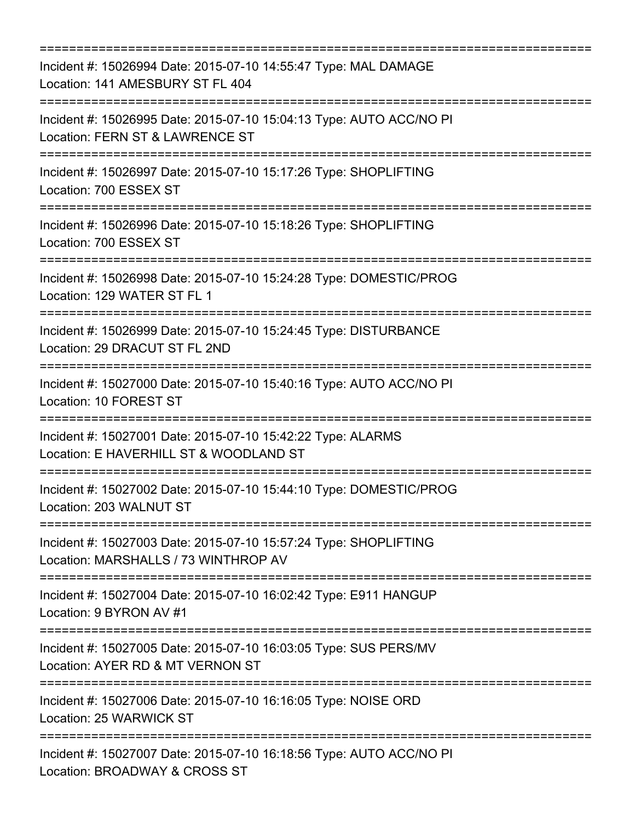| Incident #: 15026994 Date: 2015-07-10 14:55:47 Type: MAL DAMAGE<br>Location: 141 AMESBURY ST FL 404<br>----------------------------       |
|-------------------------------------------------------------------------------------------------------------------------------------------|
| Incident #: 15026995 Date: 2015-07-10 15:04:13 Type: AUTO ACC/NO PI<br>Location: FERN ST & LAWRENCE ST                                    |
| Incident #: 15026997 Date: 2015-07-10 15:17:26 Type: SHOPLIFTING<br>Location: 700 ESSEX ST                                                |
| Incident #: 15026996 Date: 2015-07-10 15:18:26 Type: SHOPLIFTING<br>Location: 700 ESSEX ST                                                |
| Incident #: 15026998 Date: 2015-07-10 15:24:28 Type: DOMESTIC/PROG<br>Location: 129 WATER ST FL 1                                         |
| Incident #: 15026999 Date: 2015-07-10 15:24:45 Type: DISTURBANCE<br>Location: 29 DRACUT ST FL 2ND                                         |
| Incident #: 15027000 Date: 2015-07-10 15:40:16 Type: AUTO ACC/NO PI<br>Location: 10 FOREST ST                                             |
| Incident #: 15027001 Date: 2015-07-10 15:42:22 Type: ALARMS<br>Location: E HAVERHILL ST & WOODLAND ST<br>:=============================== |
| Incident #: 15027002 Date: 2015-07-10 15:44:10 Type: DOMESTIC/PROG<br>Location: 203 WALNUT ST                                             |
| Incident #: 15027003 Date: 2015-07-10 15:57:24 Type: SHOPLIFTING<br>Location: MARSHALLS / 73 WINTHROP AV                                  |
| Incident #: 15027004 Date: 2015-07-10 16:02:42 Type: E911 HANGUP<br>Location: 9 BYRON AV #1                                               |
| Incident #: 15027005 Date: 2015-07-10 16:03:05 Type: SUS PERS/MV<br>Location: AYER RD & MT VERNON ST                                      |
| ========================<br>Incident #: 15027006 Date: 2015-07-10 16:16:05 Type: NOISE ORD<br>Location: 25 WARWICK ST                     |
| Incident #: 15027007 Date: 2015-07-10 16:18:56 Type: AUTO ACC/NO PI<br>Location: BROADWAY & CROSS ST                                      |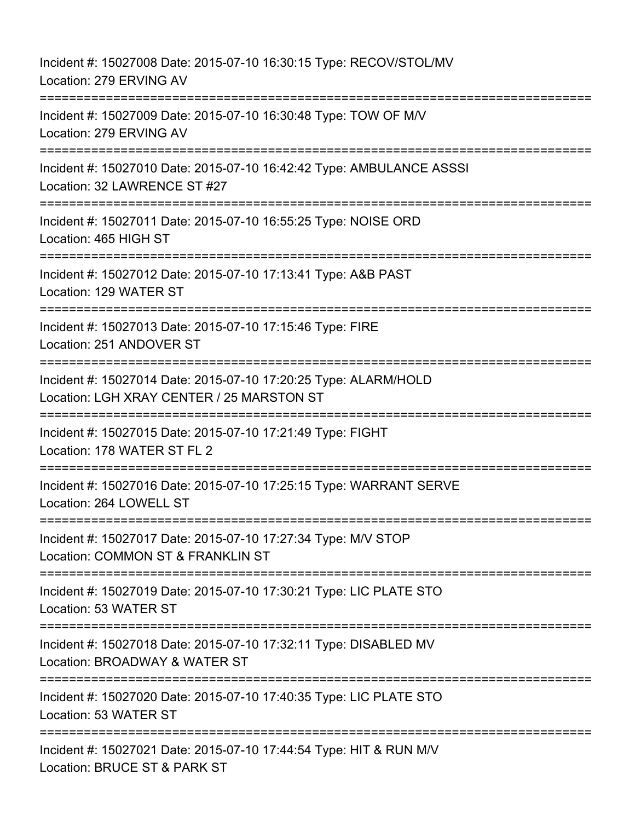Incident #: 15027008 Date: 2015-07-10 16:30:15 Type: RECOV/STOL/MV Location: 279 ERVING AV =========================================================================== Incident #: 15027009 Date: 2015-07-10 16:30:48 Type: TOW OF M/V Location: 279 ERVING AV =========================================================================== Incident #: 15027010 Date: 2015-07-10 16:42:42 Type: AMBULANCE ASSSI Location: 32 LAWRENCE ST #27 =========================================================================== Incident #: 15027011 Date: 2015-07-10 16:55:25 Type: NOISE ORD Location: 465 HIGH ST =========================================================================== Incident #: 15027012 Date: 2015-07-10 17:13:41 Type: A&B PAST Location: 129 WATER ST =============================== Incident #: 15027013 Date: 2015-07-10 17:15:46 Type: FIRE Location: 251 ANDOVER ST =========================================================================== Incident #: 15027014 Date: 2015-07-10 17:20:25 Type: ALARM/HOLD Location: LGH XRAY CENTER / 25 MARSTON ST =========================================================================== Incident #: 15027015 Date: 2015-07-10 17:21:49 Type: FIGHT Location: 178 WATER ST FL 2 =========================================================================== Incident #: 15027016 Date: 2015-07-10 17:25:15 Type: WARRANT SERVE Location: 264 LOWELL ST =========================================================================== Incident #: 15027017 Date: 2015-07-10 17:27:34 Type: M/V STOP Location: COMMON ST & FRANKLIN ST =========================================================================== Incident #: 15027019 Date: 2015-07-10 17:30:21 Type: LIC PLATE STO Location: 53 WATER ST =========================================================================== Incident #: 15027018 Date: 2015-07-10 17:32:11 Type: DISABLED MV Location: BROADWAY & WATER ST =========================================================================== Incident #: 15027020 Date: 2015-07-10 17:40:35 Type: LIC PLATE STO Location: 53 WATER ST ============================ Incident #: 15027021 Date: 2015-07-10 17:44:54 Type: HIT & RUN M/V Location: BRUCE ST & PARK ST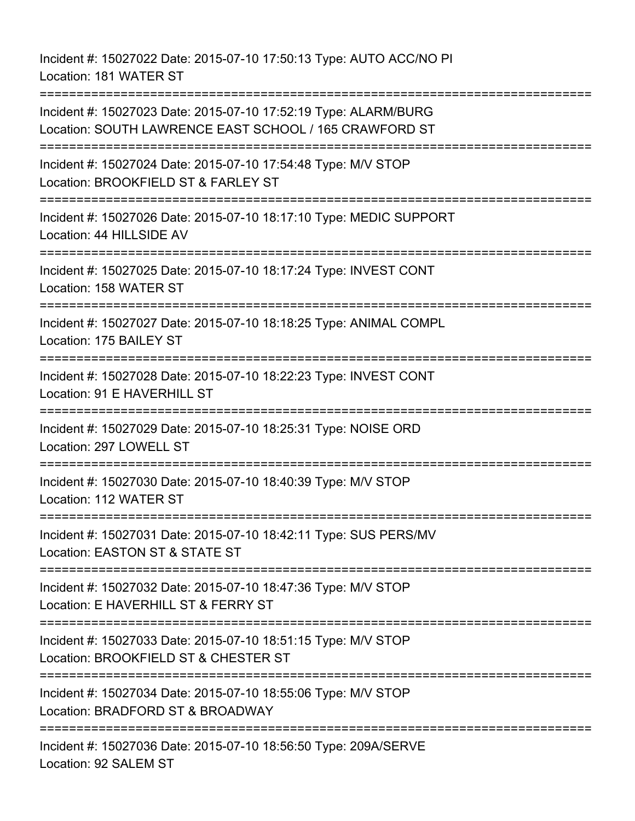Incident #: 15027022 Date: 2015-07-10 17:50:13 Type: AUTO ACC/NO PI Location: 181 WATER ST

=========================================================================== Incident #: 15027023 Date: 2015-07-10 17:52:19 Type: ALARM/BURG Location: SOUTH LAWRENCE EAST SCHOOL / 165 CRAWFORD ST =========================================================================== Incident #: 15027024 Date: 2015-07-10 17:54:48 Type: M/V STOP Location: BROOKFIELD ST & FARLEY ST =========================================================================== Incident #: 15027026 Date: 2015-07-10 18:17:10 Type: MEDIC SUPPORT Location: 44 HILLSIDE AV =========================================================================== Incident #: 15027025 Date: 2015-07-10 18:17:24 Type: INVEST CONT Location: 158 WATER ST =========================================================================== Incident #: 15027027 Date: 2015-07-10 18:18:25 Type: ANIMAL COMPL Location: 175 BAILEY ST =========================================================================== Incident #: 15027028 Date: 2015-07-10 18:22:23 Type: INVEST CONT Location: 91 E HAVERHILL ST =========================================================================== Incident #: 15027029 Date: 2015-07-10 18:25:31 Type: NOISE ORD Location: 297 LOWELL ST ========================== Incident #: 15027030 Date: 2015-07-10 18:40:39 Type: M/V STOP Location: 112 WATER ST =========================================================================== Incident #: 15027031 Date: 2015-07-10 18:42:11 Type: SUS PERS/MV Location: EASTON ST & STATE ST =========================================================================== Incident #: 15027032 Date: 2015-07-10 18:47:36 Type: M/V STOP Location: E HAVERHILL ST & FERRY ST =========================================================================== Incident #: 15027033 Date: 2015-07-10 18:51:15 Type: M/V STOP Location: BROOKFIELD ST & CHESTER ST =========================================================================== Incident #: 15027034 Date: 2015-07-10 18:55:06 Type: M/V STOP Location: BRADFORD ST & BROADWAY =========================================================================== Incident #: 15027036 Date: 2015-07-10 18:56:50 Type: 209A/SERVE Location: 92 SALEM ST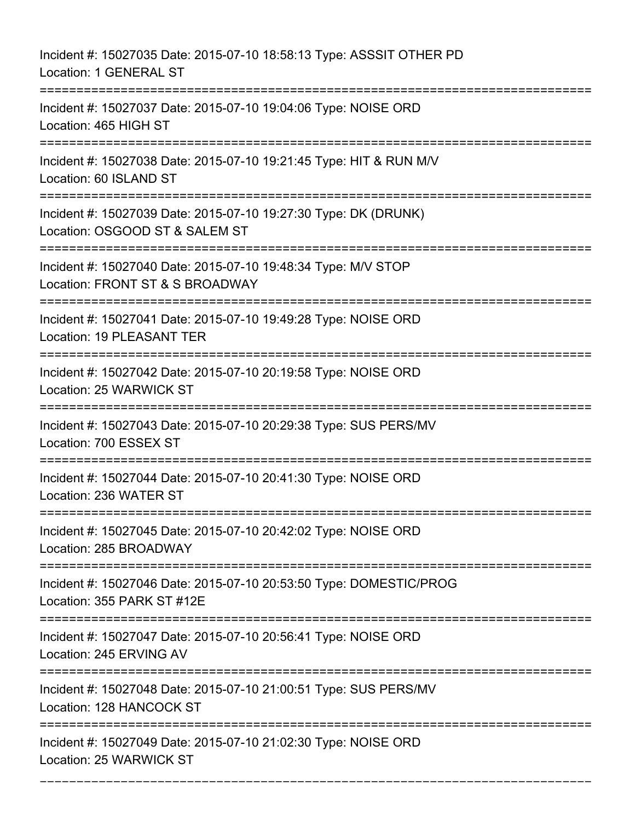Incident #: 15027035 Date: 2015-07-10 18:58:13 Type: ASSSIT OTHER PD Location: 1 GENERAL ST =========================================================================== Incident #: 15027037 Date: 2015-07-10 19:04:06 Type: NOISE ORD Location: 465 HIGH ST =========================================================================== Incident #: 15027038 Date: 2015-07-10 19:21:45 Type: HIT & RUN M/V Location: 60 ISLAND ST =========================================================================== Incident #: 15027039 Date: 2015-07-10 19:27:30 Type: DK (DRUNK) Location: OSGOOD ST & SALEM ST =========================================================================== Incident #: 15027040 Date: 2015-07-10 19:48:34 Type: M/V STOP Location: FRONT ST & S BROADWAY =========================================================================== Incident #: 15027041 Date: 2015-07-10 19:49:28 Type: NOISE ORD Location: 19 PLEASANT TER =========================================================================== Incident #: 15027042 Date: 2015-07-10 20:19:58 Type: NOISE ORD Location: 25 WARWICK ST =========================================================================== Incident #: 15027043 Date: 2015-07-10 20:29:38 Type: SUS PERS/MV Location: 700 ESSEX ST =========================================================================== Incident #: 15027044 Date: 2015-07-10 20:41:30 Type: NOISE ORD Location: 236 WATER ST =========================================================================== Incident #: 15027045 Date: 2015-07-10 20:42:02 Type: NOISE ORD Location: 285 BROADWAY =========================================================================== Incident #: 15027046 Date: 2015-07-10 20:53:50 Type: DOMESTIC/PROG Location: 355 PARK ST #12E =========================================================================== Incident #: 15027047 Date: 2015-07-10 20:56:41 Type: NOISE ORD Location: 245 ERVING AV =========================================================================== Incident #: 15027048 Date: 2015-07-10 21:00:51 Type: SUS PERS/MV Location: 128 HANCOCK ST =========================================================================== Incident #: 15027049 Date: 2015-07-10 21:02:30 Type: NOISE ORD Location: 25 WARWICK ST

===========================================================================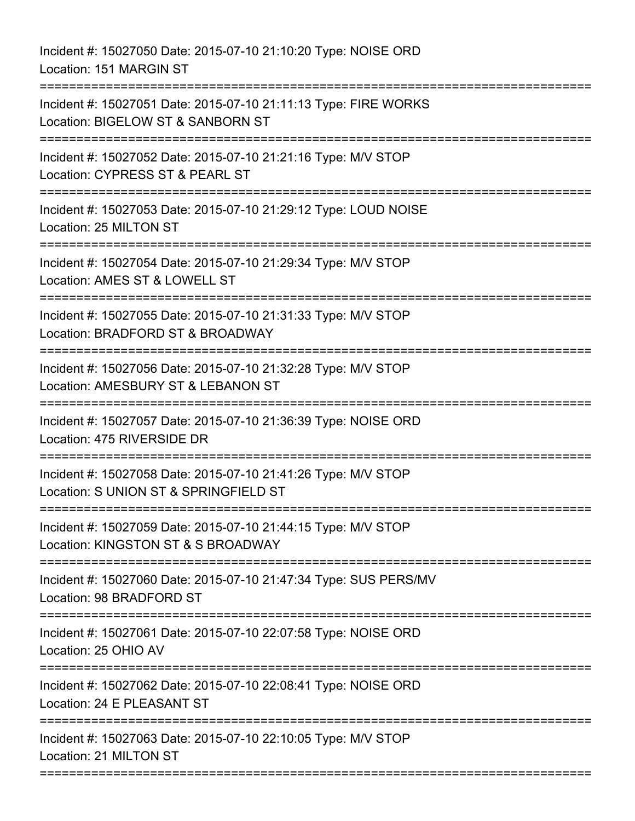Incident #: 15027050 Date: 2015-07-10 21:10:20 Type: NOISE ORD Location: 151 MARGIN ST =========================================================================== Incident #: 15027051 Date: 2015-07-10 21:11:13 Type: FIRE WORKS Location: BIGELOW ST & SANBORN ST =========================================================================== Incident #: 15027052 Date: 2015-07-10 21:21:16 Type: M/V STOP Location: CYPRESS ST & PEARL ST =========================================================================== Incident #: 15027053 Date: 2015-07-10 21:29:12 Type: LOUD NOISE Location: 25 MILTON ST =========================================================================== Incident #: 15027054 Date: 2015-07-10 21:29:34 Type: M/V STOP Location: AMES ST & LOWELL ST =========================================================================== Incident #: 15027055 Date: 2015-07-10 21:31:33 Type: M/V STOP Location: BRADFORD ST & BROADWAY =========================================================================== Incident #: 15027056 Date: 2015-07-10 21:32:28 Type: M/V STOP Location: AMESBURY ST & LEBANON ST =========================================================================== Incident #: 15027057 Date: 2015-07-10 21:36:39 Type: NOISE ORD Location: 475 RIVERSIDE DR =========================================================================== Incident #: 15027058 Date: 2015-07-10 21:41:26 Type: M/V STOP Location: S UNION ST & SPRINGFIELD ST ============================= Incident #: 15027059 Date: 2015-07-10 21:44:15 Type: M/V STOP Location: KINGSTON ST & S BROADWAY =========================================================================== Incident #: 15027060 Date: 2015-07-10 21:47:34 Type: SUS PERS/MV Location: 98 BRADFORD ST =========================================================================== Incident #: 15027061 Date: 2015-07-10 22:07:58 Type: NOISE ORD Location: 25 OHIO AV =========================================================================== Incident #: 15027062 Date: 2015-07-10 22:08:41 Type: NOISE ORD Location: 24 F PLEASANT ST =========================================================================== Incident #: 15027063 Date: 2015-07-10 22:10:05 Type: M/V STOP Location: 21 MILTON ST ===========================================================================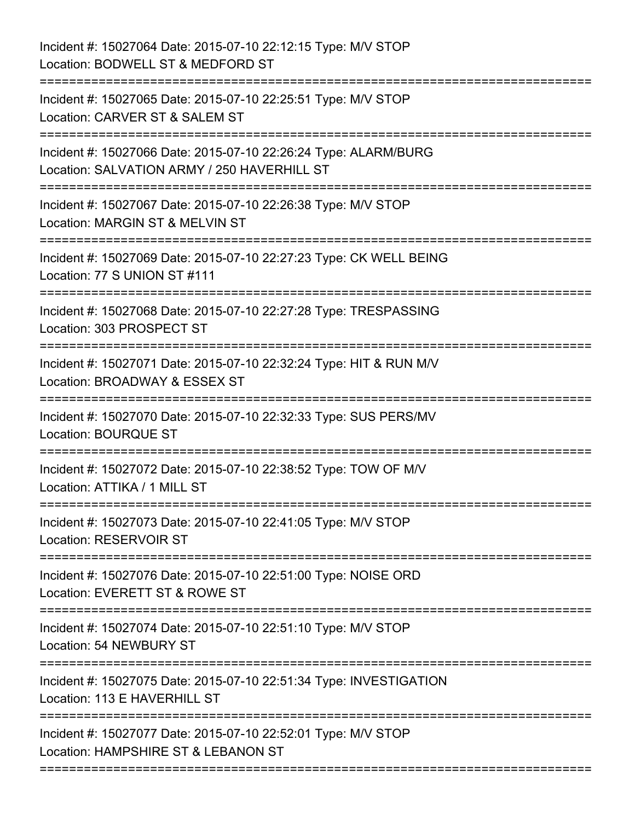| Incident #: 15027064 Date: 2015-07-10 22:12:15 Type: M/V STOP<br>Location: BODWELL ST & MEDFORD ST             |
|----------------------------------------------------------------------------------------------------------------|
| Incident #: 15027065 Date: 2015-07-10 22:25:51 Type: M/V STOP<br>Location: CARVER ST & SALEM ST                |
| Incident #: 15027066 Date: 2015-07-10 22:26:24 Type: ALARM/BURG<br>Location: SALVATION ARMY / 250 HAVERHILL ST |
| Incident #: 15027067 Date: 2015-07-10 22:26:38 Type: M/V STOP<br>Location: MARGIN ST & MELVIN ST               |
| Incident #: 15027069 Date: 2015-07-10 22:27:23 Type: CK WELL BEING<br>Location: 77 S UNION ST #111             |
| Incident #: 15027068 Date: 2015-07-10 22:27:28 Type: TRESPASSING<br>Location: 303 PROSPECT ST                  |
| Incident #: 15027071 Date: 2015-07-10 22:32:24 Type: HIT & RUN M/V<br>Location: BROADWAY & ESSEX ST            |
| Incident #: 15027070 Date: 2015-07-10 22:32:33 Type: SUS PERS/MV<br>Location: BOURQUE ST                       |
| Incident #: 15027072 Date: 2015-07-10 22:38:52 Type: TOW OF M/V<br>Location: ATTIKA / 1 MILL ST                |
| Incident #: 15027073 Date: 2015-07-10 22:41:05 Type: M/V STOP<br><b>Location: RESERVOIR ST</b>                 |
| Incident #: 15027076 Date: 2015-07-10 22:51:00 Type: NOISE ORD<br>Location: EVERETT ST & ROWE ST               |
| Incident #: 15027074 Date: 2015-07-10 22:51:10 Type: M/V STOP<br>Location: 54 NEWBURY ST                       |
| Incident #: 15027075 Date: 2015-07-10 22:51:34 Type: INVESTIGATION<br>Location: 113 E HAVERHILL ST             |
| Incident #: 15027077 Date: 2015-07-10 22:52:01 Type: M/V STOP<br>Location: HAMPSHIRE ST & LEBANON ST           |
|                                                                                                                |